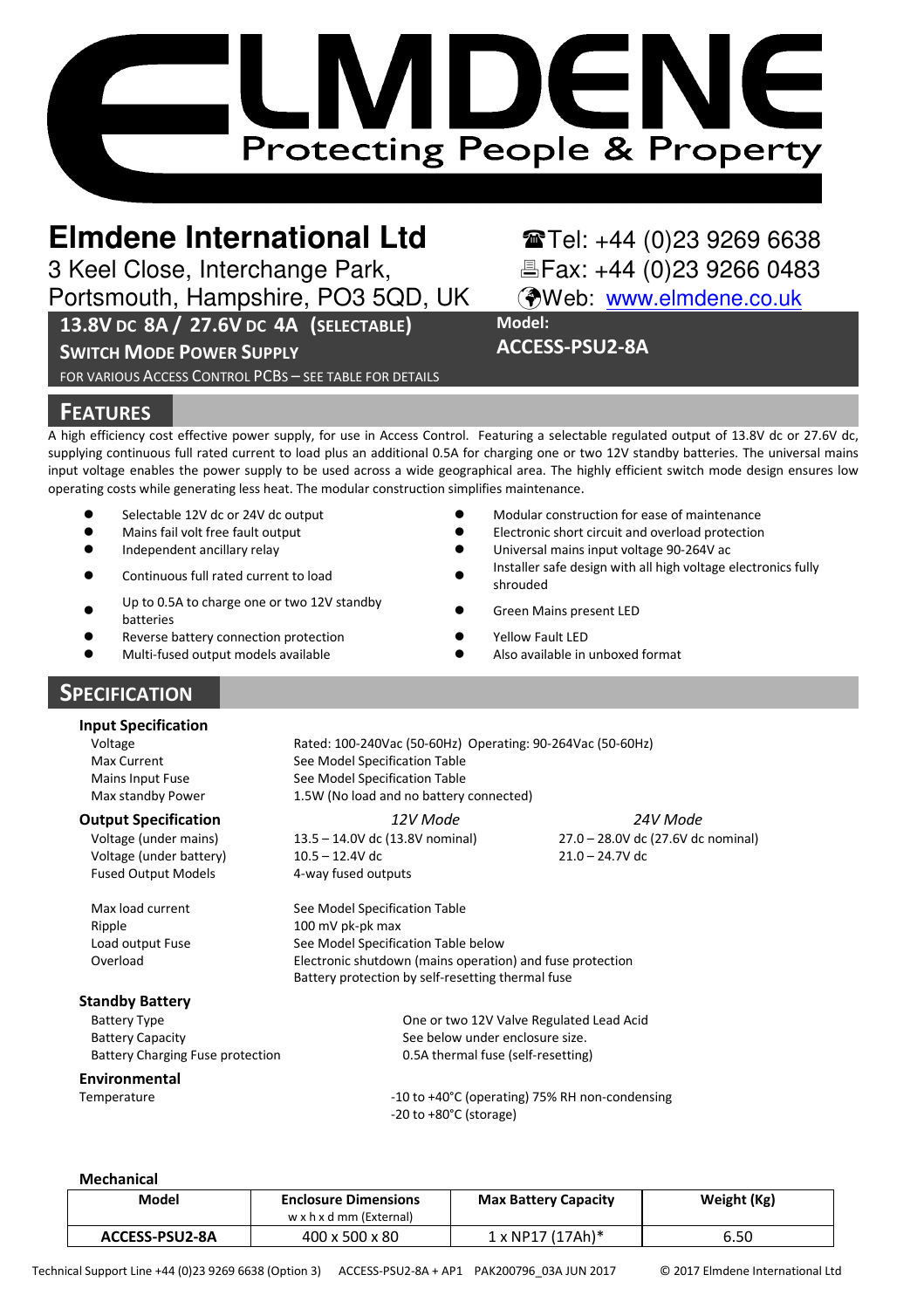# DE **Protecting People & Property**

3 Keel Close, Interchange Park,

Portsmouth, Hampshire, PO3 5QD, UK (Web: www.elmdene.co.uk

# **13.8V DC 8A / 27.6V DC 4A (SELECTABLE)**

**SWITCH MODE POWER SUPPLY**

FOR VARIOUS ACCESS CONTROL PCBS – SEE TABLE FOR DETAILS

# **Elmdene International Ltd**<br> **Elmdene Interchange Park,**<br> **Elmdene Interchange Park,**<br> **Elmdene Interchange Park,**<br> **Elmdene International Elminoristy**

**Model:**

**ACCESS-PSU2-8A** 

# **FEATURES**

A high efficiency cost effective power supply, for use in Access Control. Featuring a selectable regulated output of 13.8V dc or 27.6V dc, supplying continuous full rated current to load plus an additional 0.5A for charging one or two 12V standby batteries. The universal mains input voltage enables the power supply to be used across a wide geographical area. The highly efficient switch mode design ensures low operating costs while generating less heat. The modular construction simplifies maintenance.

- $\bullet$ Selectable 12V dc or 24V dc output  $\bullet$
- $\bullet$ Mains fail volt free fault output
- -Independent ancillary relay - The Contract of the Contract of the Contract of the Contract of the Contract of the Contract of the Contract of the Contract of the Contract of the Contract of the Contract of the Contract of
- -Continuous full rated current to load -
- $\bullet$ Up to 0.5A to charge one or two 12V standby<br>batteries
- $\bullet$ Reverse battery connection protection
- $\bullet$ Multi-fused output models available

# **SPECIFICATION**

#### **Input Specification**

Mains Input Fuse Max standby Power

Voltage (under mains) Voltage (under battery) Fused Output Models **4-way fused outputs** 

#### **Standby Battery**

#### **Environmental**

Modular construction for ease of maintenance

- Electronic short circuit and overload protection
- Universal mains input voltage 90-264V ac
- Installer safe design with all high voltage electronics fully shrouded
- Green Mains present LED
- Yellow Fault LED
- Also available in unboxed format
- Voltage Rated: 100-240Vac (50-60Hz) Operating: 90-264Vac (50-60Hz) Max Current See Model Specification Table See Model Specification Table 1.5W (No load and no battery connected)

**Output Specification** *12V Mode 24V Mode* 13.5 – 14.0V dc (13.8V nominal) 10.5 – 12.4V dc

27.0 – 28.0V dc (27.6V dc nominal) 21.0 – 24.7V dc

Max load current See Model Specification Table Ripple 100 mV pk-pk max Load output Fuse See Model Specification Table below Overload Electronic shutdown (mains operation) and fuse protection Battery protection by self-resetting thermal fuse

Battery Type One or two 12V Valve Regulated Lead Acid Battery Capacity See below under enclosure size. Battery Charging Fuse protection 0.5A thermal fuse (self-resetting)

Temperature  $-10$  to  $+40^{\circ}$ C (operating) 75% RH non-condensing -20 to +80°C (storage)

#### **Mechanical**

| Model          | <b>Enclosure Dimensions</b><br>w x h x d mm (External) | <b>Max Battery Capacity</b> | Weight (Kg) |
|----------------|--------------------------------------------------------|-----------------------------|-------------|
| ACCESS-PSU2-8A | 400 x 500 x 80                                         | $1 \times NP17 (17Ah)^*$    | 6.50        |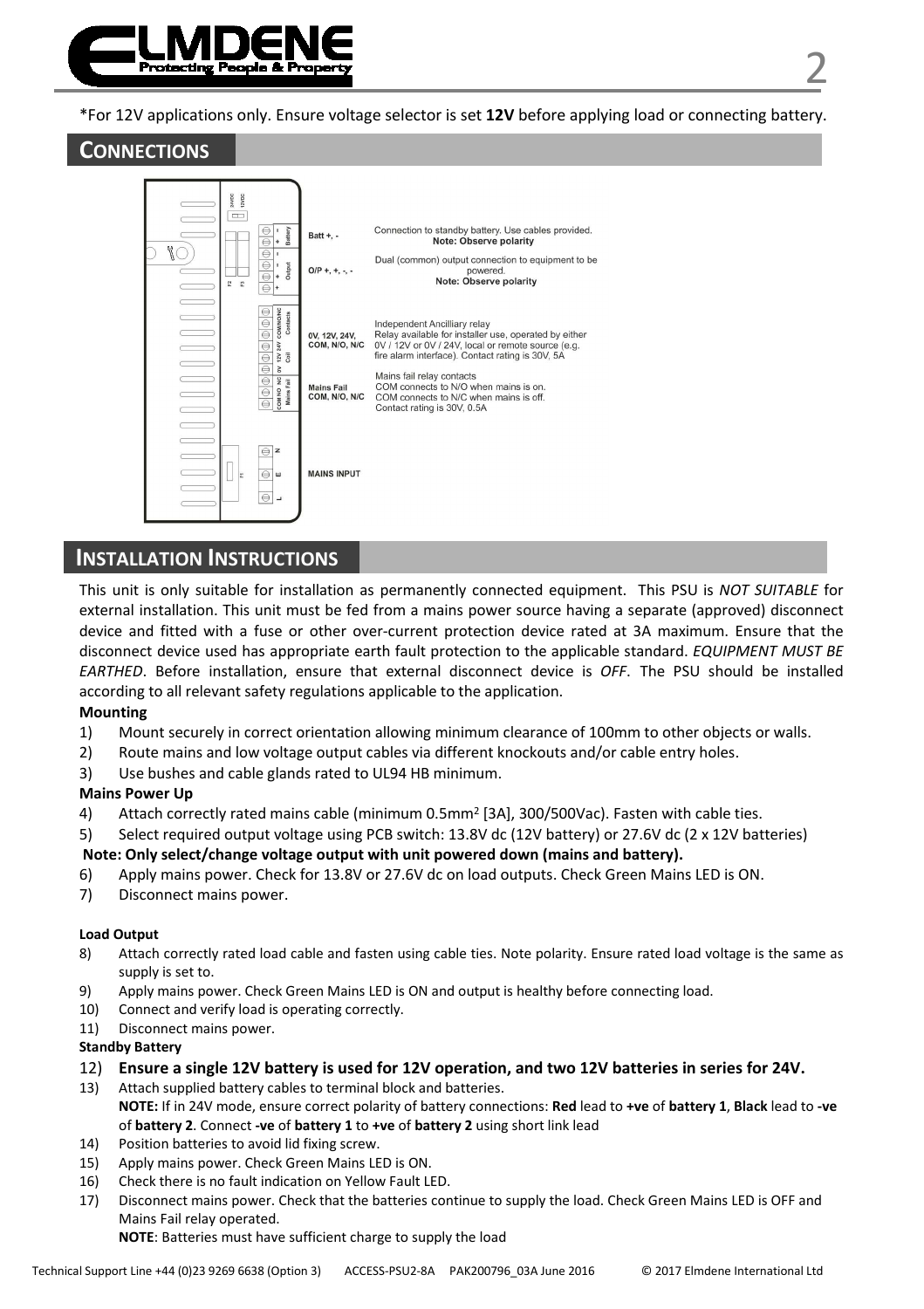

\*For 12V applications only. Ensure voltage selector is set **12V** before applying load or connecting battery.

# **CONNECTIONS**



**INSTALLATION INSTRUCTIONS**

This unit is only suitable for installation as permanently connected equipment. This PSU is *NOT SUITABLE* for external installation. This unit must be fed from a mains power source having a separate (approved) disconnect device and fitted with a fuse or other over-current protection device rated at 3A maximum. Ensure that the disconnect device used has appropriate earth fault protection to the applicable standard. *EQUIPMENT MUST BE EARTHED*. Before installation, ensure that external disconnect device is *OFF*. The PSU should be installed according to all relevant safety regulations applicable to the application.

#### **Mounting**

- 1) Mount securely in correct orientation allowing minimum clearance of 100mm to other objects or walls.
- 2) Route mains and low voltage output cables via different knockouts and/or cable entry holes.
- 3) Use bushes and cable glands rated to UL94 HB minimum.

#### **Mains Power Up**

- 4) Attach correctly rated mains cable (minimum 0.5mm<sup>2</sup> [3A], 300/500Vac). Fasten with cable ties.
- 5) Select required output voltage using PCB switch: 13.8V dc (12V battery) or 27.6V dc (2 x 12V batteries)

#### **Note: Only select/change voltage output with unit powered down (mains and battery).**

- 6) Apply mains power. Check for 13.8V or 27.6V dc on load outputs. Check Green Mains LED is ON.
- 7) Disconnect mains power.

#### **Load Output**

- 8) Attach correctly rated load cable and fasten using cable ties. Note polarity. Ensure rated load voltage is the same as supply is set to.
- 9) Apply mains power. Check Green Mains LED is ON and output is healthy before connecting load.
- 10) Connect and verify load is operating correctly.
- 11) Disconnect mains power.

#### **Standby Battery**

- 12) **Ensure a single 12V battery is used for 12V operation, and two 12V batteries in series for 24V.**
- 13) Attach supplied battery cables to terminal block and batteries. **NOTE:** If in 24V mode, ensure correct polarity of battery connections: **Red** lead to **+ve** of **battery 1**, **Black** lead to **-ve** of **battery 2**. Connect **-ve** of **battery 1** to **+ve** of **battery 2** using short link lead
- 14) Position batteries to avoid lid fixing screw.
- 15) Apply mains power. Check Green Mains LED is ON.
- 16) Check there is no fault indication on Yellow Fault LED.
- 17) Disconnect mains power. Check that the batteries continue to supply the load. Check Green Mains LED is OFF and Mains Fail relay operated.

**NOTE**: Batteries must have sufficient charge to supply the load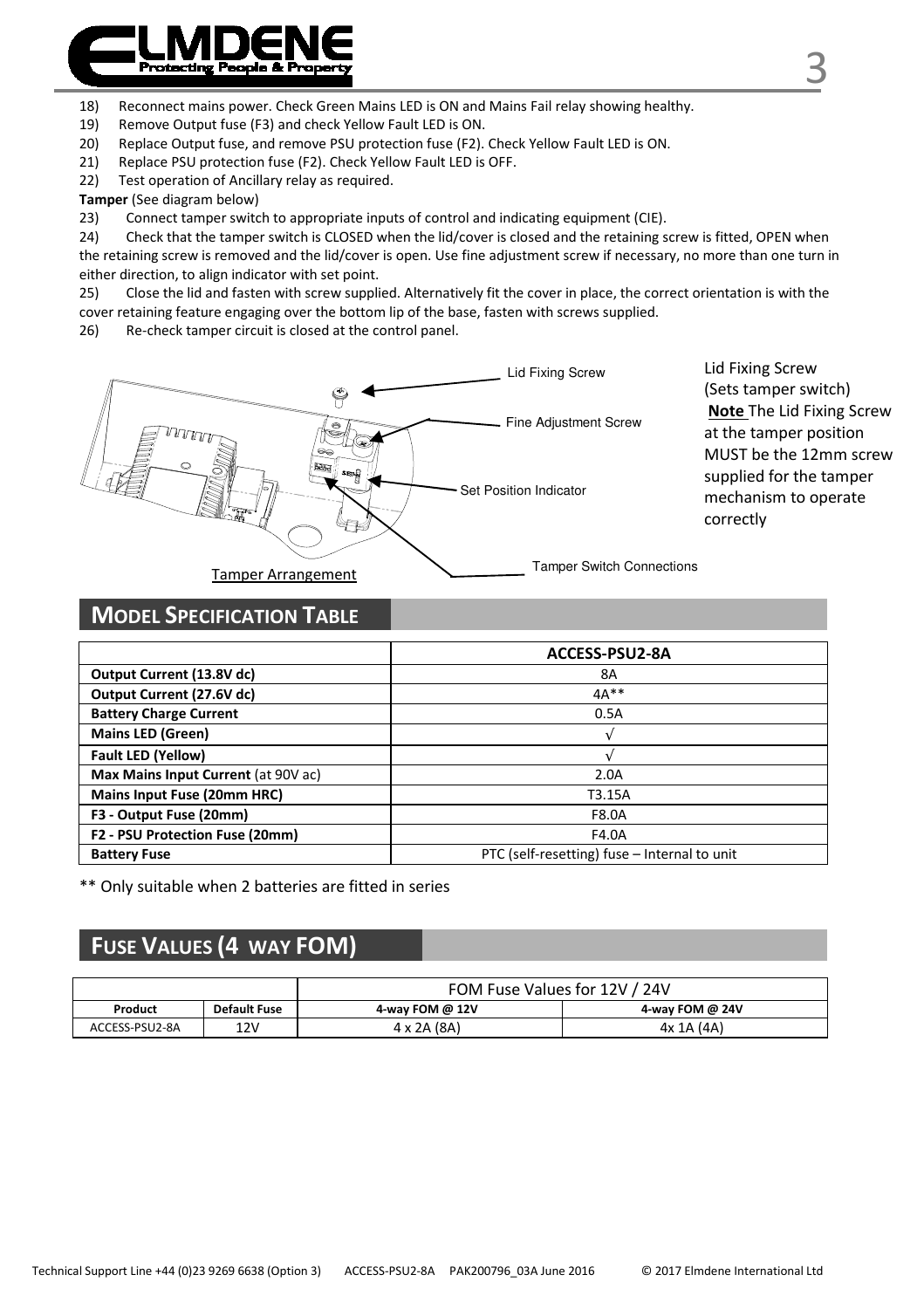

19) Remove Output fuse (F3) and check Yellow Fault LED is ON.

- 20) Replace Output fuse, and remove PSU protection fuse (F2). Check Yellow Fault LED is ON.
- 21) Replace PSU protection fuse (F2). Check Yellow Fault LED is OFF.
- 22) Test operation of Ancillary relay as required.

**Tamper** (See diagram below)

23) Connect tamper switch to appropriate inputs of control and indicating equipment (CIE).

24) Check that the tamper switch is CLOSED when the lid/cover is closed and the retaining screw is fitted, OPEN when the retaining screw is removed and the lid/cover is open. Use fine adjustment screw if necessary, no more than one turn in either direction, to align indicator with set point.

25) Close the lid and fasten with screw supplied. Alternatively fit the cover in place, the correct orientation is with the cover retaining feature engaging over the bottom lip of the base, fasten with screws supplied.

26) Re-check tamper circuit is closed at the control panel.



Lid Fixing Screw (Sets tamper switch) **Note** The Lid Fixing Screw at the tamper position MUST be the 12mm screw supplied for the tamper mechanism to operate correctly

# **MODEL SPECIFICATION TABLE**

|                                     | ACCESS-PSU2-8A                               |
|-------------------------------------|----------------------------------------------|
| Output Current (13.8V dc)           | <b>8A</b>                                    |
| Output Current (27.6V dc)           | $4A**$                                       |
| <b>Battery Charge Current</b>       | 0.5A                                         |
| <b>Mains LED (Green)</b>            |                                              |
| Fault LED (Yellow)                  |                                              |
| Max Mains Input Current (at 90V ac) | 2.0A                                         |
| Mains Input Fuse (20mm HRC)         | T3.15A                                       |
| F3 - Output Fuse (20mm)             | F8.0A                                        |
| F2 - PSU Protection Fuse (20mm)     | F4.0A                                        |
| <b>Battery Fuse</b>                 | PTC (self-resetting) fuse - Internal to unit |

\*\* Only suitable when 2 batteries are fitted in series

# **FUSE VALUES (4 WAY FOM)**

|                |              | FOM Fuse Values for 12V / 24V |                 |
|----------------|--------------|-------------------------------|-----------------|
| Product        | Default Fuse | 4-way FOM @ 12V               | 4-way FOM @ 24V |
| ACCESS-PSU2-8A | 12V          | 4 x 2A (8A)                   | 4x 1A (4A)      |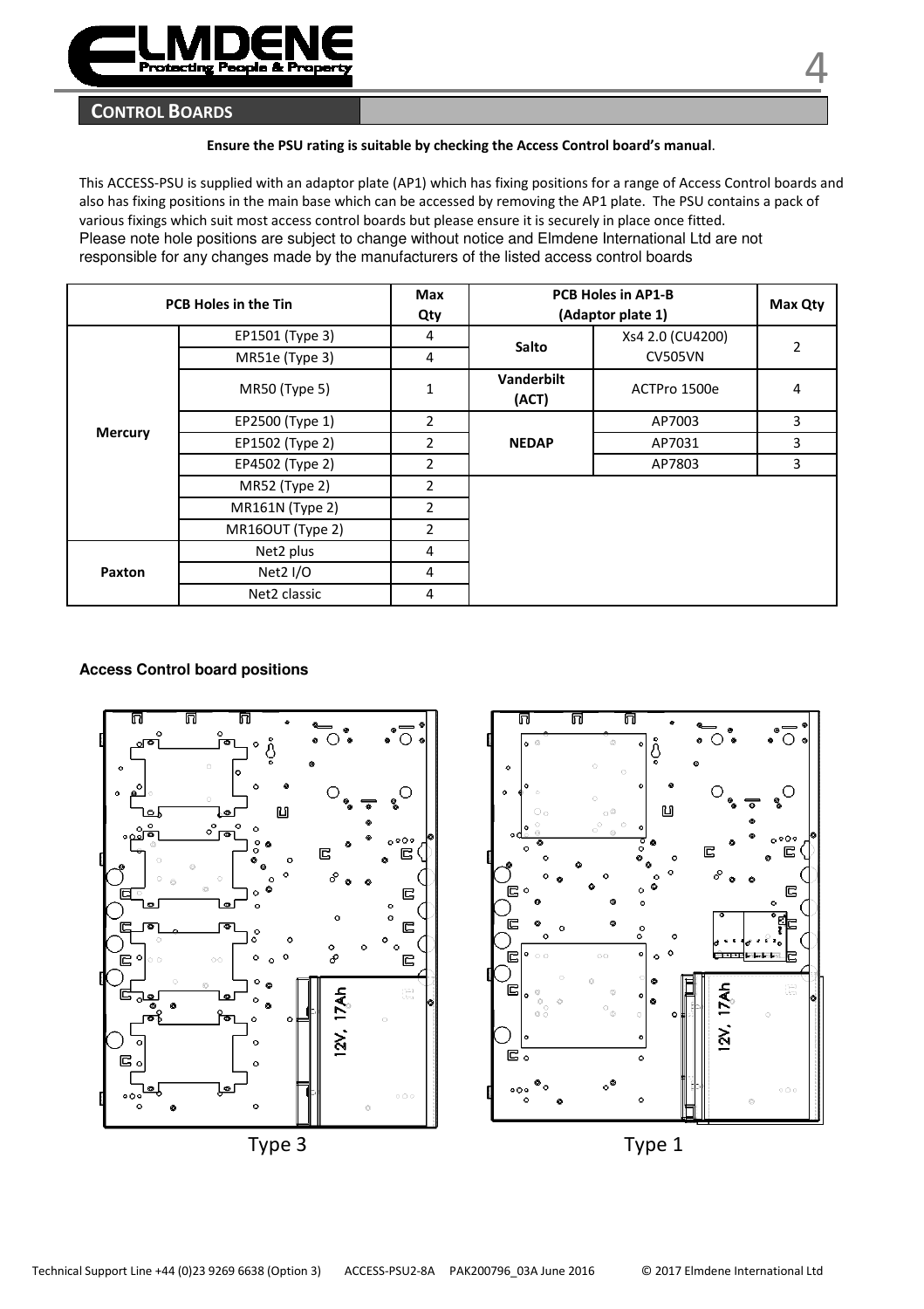

### **CONTROL BOARDS**

#### **Ensure the PSU rating is suitable by checking the Access Control board's manual**.

This ACCESS-PSU is supplied with an adaptor plate (AP1) which has fixing positions for a range of Access Control boards and also has fixing positions in the main base which can be accessed by removing the AP1 plate. The PSU contains a pack of various fixings which suit most access control boards but please ensure it is securely in place once fitted. Please note hole positions are subject to change without notice and Elmdene International Ltd are not responsible for any changes made by the manufacturers of the listed access control boards

|         | <b>PCB Holes in the Tin</b> | Max<br>Qty     |                     | <b>PCB Holes in AP1-B</b><br>(Adaptor plate 1) | Max Qty       |
|---------|-----------------------------|----------------|---------------------|------------------------------------------------|---------------|
|         | EP1501 (Type 3)             | $\overline{4}$ | Salto               | Xs4 2.0 (CU4200)                               | $\mathcal{P}$ |
|         | MR51e (Type 3)              | $\overline{4}$ |                     | <b>CV505VN</b>                                 |               |
|         | <b>MR50 (Type 5)</b>        | 1              | Vanderbilt<br>(ACT) | ACTPro 1500e                                   | 4             |
|         | EP2500 (Type 1)             | $\overline{2}$ |                     | AP7003                                         | 3             |
| Mercury | EP1502 (Type 2)             | $\overline{2}$ | <b>NEDAP</b>        | AP7031                                         | 3             |
|         | EP4502 (Type 2)             | 2              |                     | AP7803                                         | 3             |
|         | MR52 (Type 2)               | $\overline{2}$ |                     |                                                |               |
|         | <b>MR161N</b> (Type 2)      | 2              |                     |                                                |               |
|         | MR16OUT (Type 2)            | $\overline{2}$ |                     |                                                |               |
|         | Net2 plus                   | $\overline{4}$ |                     |                                                |               |
| Paxton  | Net2 I/O                    | $\overline{4}$ |                     |                                                |               |
|         | Net2 classic                | $\overline{4}$ |                     |                                                |               |

#### **Access Control board positions**

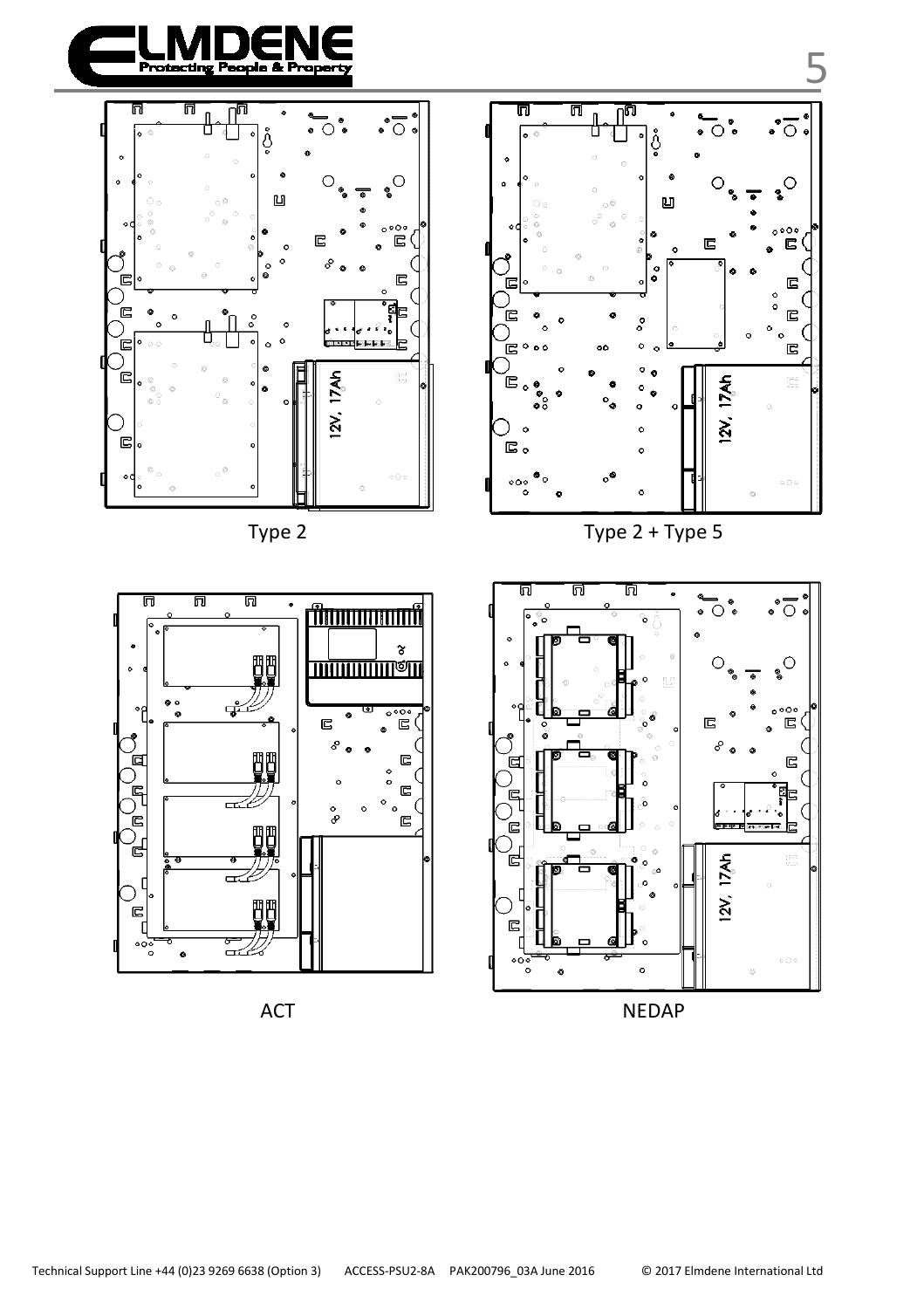







Type 2 + Type 2 + Type 5

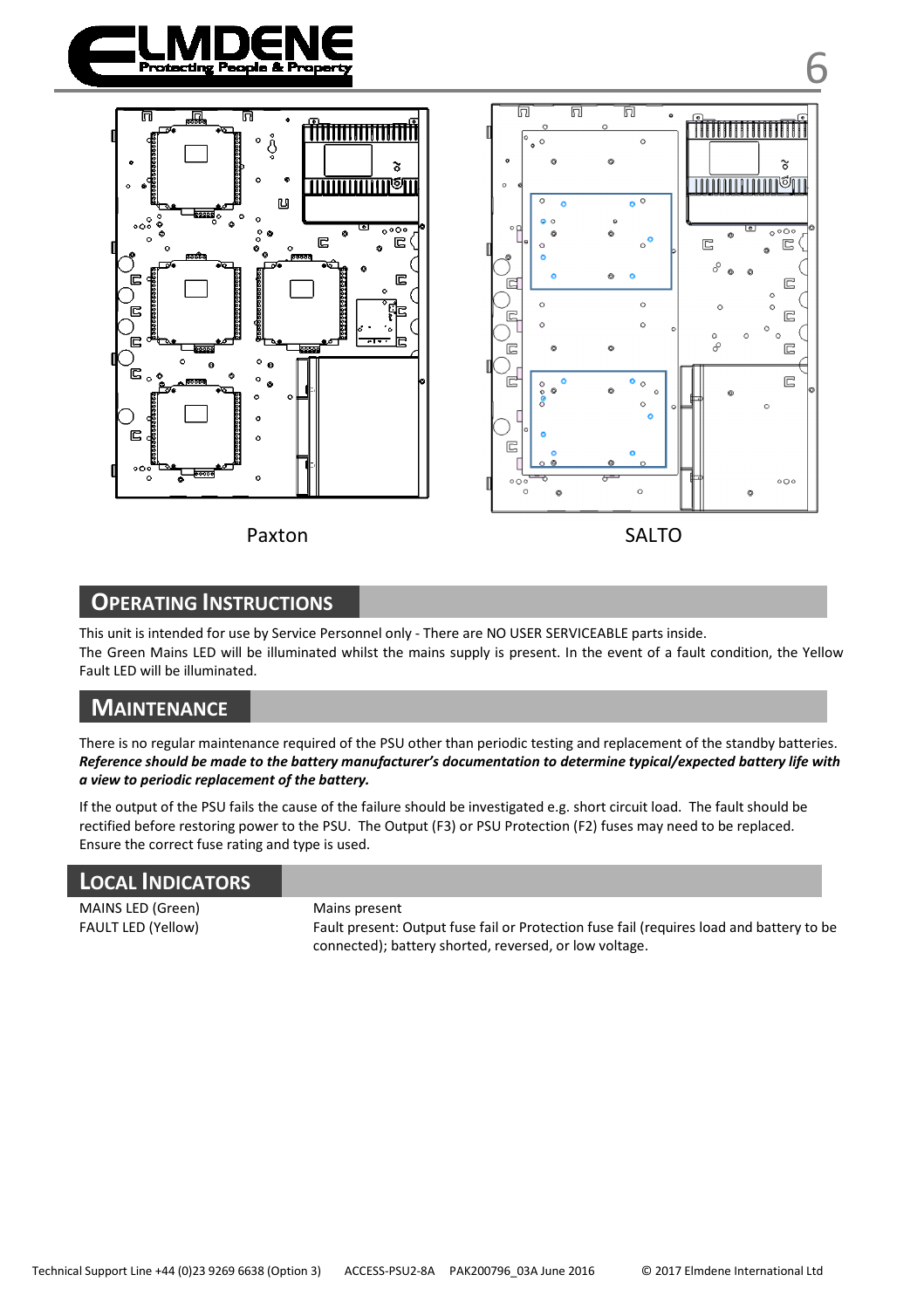



Paxton SALTO



# **OPERATING INSTRUCTIONS**

This unit is intended for use by Service Personnel only - There are NO USER SERVICEABLE parts inside. The Green Mains LED will be illuminated whilst the mains supply is present. In the event of a fault condition, the Yellow Fault LED will be illuminated.

## **MAINTENANCE**

There is no regular maintenance required of the PSU other than periodic testing and replacement of the standby batteries. *Reference should be made to the battery manufacturer's documentation to determine typical/expected battery life with a view to periodic replacement of the battery.* 

If the output of the PSU fails the cause of the failure should be investigated e.g. short circuit load. The fault should be rectified before restoring power to the PSU. The Output (F3) or PSU Protection (F2) fuses may need to be replaced. Ensure the correct fuse rating and type is used.

|--|

MAINS LED (Green) Mains present

FAULT LED (Yellow) Fault present: Output fuse fail or Protection fuse fail (requires load and battery to be connected); battery shorted, reversed, or low voltage.